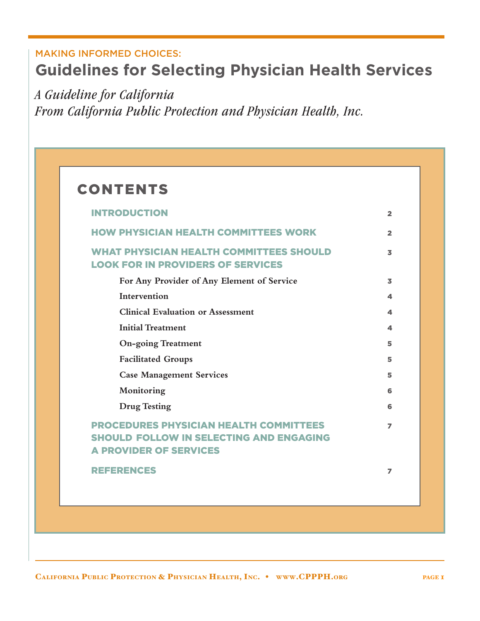# MAKING INFORMED CHOICES: **Guidelines for Selecting Physician Health Services**

*A Guideline for California From California Public Protection and Physician Health, Inc.*

# **CONTENTS**

| <b>INTRODUCTION</b>                                                                                                              | $\overline{\mathbf{2}}$ |
|----------------------------------------------------------------------------------------------------------------------------------|-------------------------|
| <b>HOW PHYSICIAN HEALTH COMMITTEES WORK</b>                                                                                      | $\overline{2}$          |
| <b>WHAT PHYSICIAN HEALTH COMMITTEES SHOULD</b><br><b>LOOK FOR IN PROVIDERS OF SERVICES</b>                                       | 3                       |
| For Any Provider of Any Element of Service                                                                                       | $\overline{\mathbf{z}}$ |
| Intervention                                                                                                                     | 4                       |
| <b>Clinical Evaluation or Assessment</b>                                                                                         | 4                       |
| <b>Initial Treatment</b>                                                                                                         | 4                       |
| <b>On-going Treatment</b>                                                                                                        | 5                       |
| <b>Facilitated Groups</b>                                                                                                        | 5                       |
| <b>Case Management Services</b>                                                                                                  | 5                       |
| Monitoring                                                                                                                       | 6                       |
| <b>Drug Testing</b>                                                                                                              | 6                       |
| <b>PROCEDURES PHYSICIAN HEALTH COMMITTEES</b><br><b>SHOULD FOLLOW IN SELECTING AND ENGAGING</b><br><b>A PROVIDER OF SERVICES</b> | $\overline{z}$          |
| <b>REFERENCES</b>                                                                                                                | 7                       |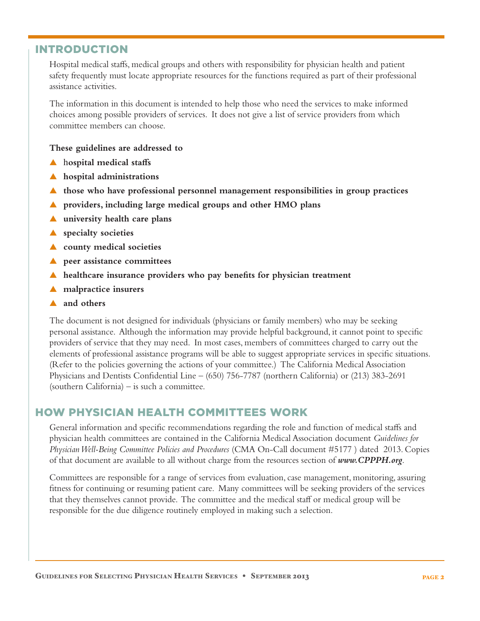## INTRODUCTION

 Hospital medical staffs, medical groups and others with responsibility for physician health and patient safety frequently must locate appropriate resources for the functions required as part of their professional assistance activities.

 The information in this document is intended to help those who need the services to make informed choices among possible providers of services. It does not give a list of service providers from which committee members can choose.

### **These guidelines are addressed to**

- ▲ h**ospital medical staffs**
- ▲ **hospital administrations**
- ▲ **those who have professional personnel management responsibilities in group practices**
- ▲ **providers, including large medical groups and other HMO plans**
- ▲ **university health care plans**
- ▲ **specialty societies**
- ▲ **county medical societies**
- ▲ **peer assistance committees**
- ▲ **healthcare insurance providers who pay benefits for physician treatment**
- ▲ **malpractice insurers**
- ▲ **and others**

 The document is not designed for individuals (physicians or family members) who may be seeking personal assistance. Although the information may provide helpful background, it cannot point to specific providers of service that they may need. In most cases, members of committees charged to carry out the elements of professional assistance programs will be able to suggest appropriate services in specific situations. (Refer to the policies governing the actions of your committee.) The California Medical Association Physicians and Dentists Confidential Line – (650) 756-7787 (northern California) or (213) 383-2691 (southern California) – is such a committee.

## HOW PHYSICIAN HEALTH COMMITTEES WORK

 General information and specific recommendations regarding the role and function of medical staffs and physician health committees are contained in the California Medical Association document *Guidelines for Physician Well-Being Committee Policies and Procedures* (CMA On-Call document #5177 ) dated 2013. Copies of that document are available to all without charge from the resources section of *www.CPPPH.org*.

 Committees are responsible for a range of services from evaluation, case management, monitoring, assuring fitness for continuing or resuming patient care. Many committees will be seeking providers of the services that they themselves cannot provide. The committee and the medical staff or medical group will be responsible for the due diligence routinely employed in making such a selection.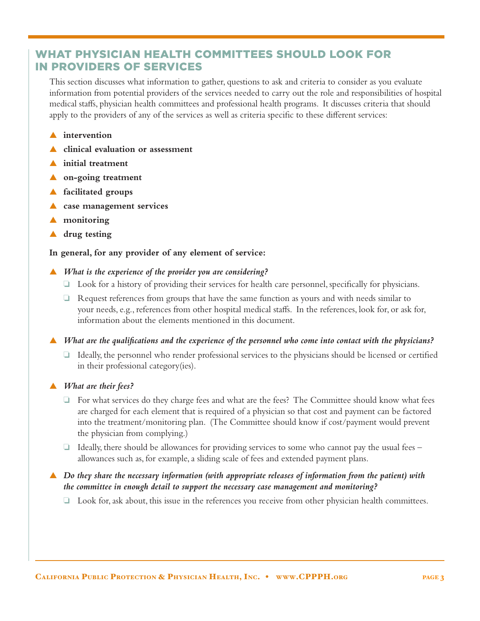# WHAT PHYSICIAN HEALTH COMMITTEES SHOULD LOOK FOR IN PROVIDERS OF SERVICES

 This section discusses what information to gather, questions to ask and criteria to consider as you evaluate information from potential providers of the services needed to carry out the role and responsibilities of hospital medical staffs, physician health committees and professional health programs. It discusses criteria that should apply to the providers of any of the services as well as criteria specific to these different services:

- ▲ **intervention**
- ▲ **clinical evaluation or assessment**
- initial treatment
- ▲ **on-going treatment**
- ▲ **facilitated groups**
- ▲ **case management services**
- ▲ **monitoring**
- ▲ **drug testing**

### **In general, for any provider of any element of service:**

- ▲ *What is the experience of the provider you are considering?* 
	- $\Box$  Look for a history of providing their services for health care personnel, specifically for physicians.
	- $\Box$  Request references from groups that have the same function as yours and with needs similar to your needs, e.g., references from other hospital medical staffs. In the references, look for, or ask for, information about the elements mentioned in this document.

▲ *What are the qualifications and the experience of the personnel who come into contact with the physicians?*

- $\Box$  Ideally, the personnel who render professional services to the physicians should be licensed or certified in their professional category(ies).
- ▲ *What are their fees?*
	- $\Box$  For what services do they charge fees and what are the fees? The Committee should know what fees are charged for each element that is required of a physician so that cost and payment can be factored into the treatment/monitoring plan. (The Committee should know if cost/payment would prevent the physician from complying.)
	- $\Box$  Ideally, there should be allowances for providing services to some who cannot pay the usual fees allowances such as, for example, a sliding scale of fees and extended payment plans.

## ▲ *Do they share the necessary information (with appropriate releases of information from the patient) with the committee in enough detail to support the necessary case management and monitoring?*

 $\Box$  Look for, ask about, this issue in the references you receive from other physician health committees.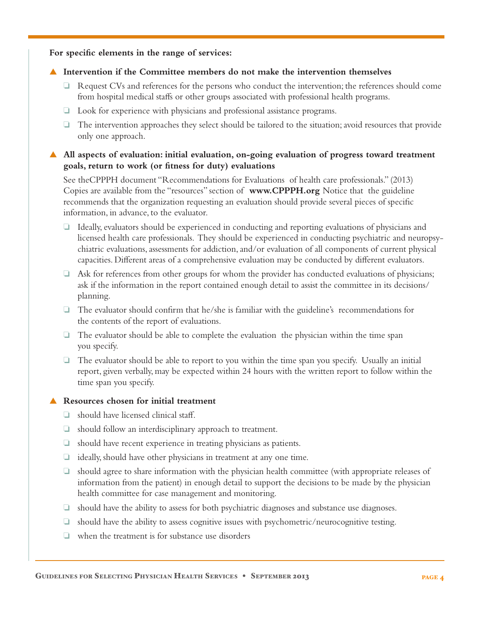**For specific elements in the range of services:**

### ▲ **Intervention if the Committee members do not make the intervention themselves**

- $\Box$  Request CVs and references for the persons who conduct the intervention; the references should come from hospital medical staffs or other groups associated with professional health programs.
- $\Box$  Look for experience with physicians and professional assistance programs.
- $\Box$  The intervention approaches they select should be tailored to the situation; avoid resources that provide only one approach.

## ▲ **All aspects of evaluation: initial evaluation, on-going evaluation of progress toward treatment goals, return to work (or fitness for duty) evaluations**

 See theCPPPH document "Recommendations for Evaluations of health care professionals." (2013) Copies are available from the "resources" section of **www.CPPPH.org** Notice that the guideline recommends that the organization requesting an evaluation should provide several pieces of specific information, in advance, to the evaluator.

- $\Box$  Ideally, evaluators should be experienced in conducting and reporting evaluations of physicians and licensed health care professionals. They should be experienced in conducting psychiatric and neuropsychiatric evaluations, assessments for addiction, and/or evaluation of all components of current physical capacities. Different areas of a comprehensive evaluation may be conducted by different evaluators.
- $\Box$  Ask for references from other groups for whom the provider has conducted evaluations of physicians; ask if the information in the report contained enough detail to assist the committee in its decisions/ planning.
- $\Box$  The evaluator should confirm that he/she is familiar with the guideline's recommendations for the contents of the report of evaluations.
- $\Box$  The evaluator should be able to complete the evaluation the physician within the time span you specify.
- $\Box$  The evaluator should be able to report to you within the time span you specify. Usually an initial report, given verbally, may be expected within 24 hours with the written report to follow within the time span you specify.

## ▲ **Resources chosen for initial treatment**

- $\Box$  should have licensed clinical staff.
- $\Box$  should follow an interdisciplinary approach to treatment.
- $\Box$  should have recent experience in treating physicians as patients.
- $\Box$  ideally, should have other physicians in treatment at any one time.
- $\Box$  should agree to share information with the physician health committee (with appropriate releases of information from the patient) in enough detail to support the decisions to be made by the physician health committee for case management and monitoring.
- $\Box$  should have the ability to assess for both psychiatric diagnoses and substance use diagnoses.
- $\Box$  should have the ability to assess cognitive issues with psychometric/neurocognitive testing.
- $\Box$  when the treatment is for substance use disorders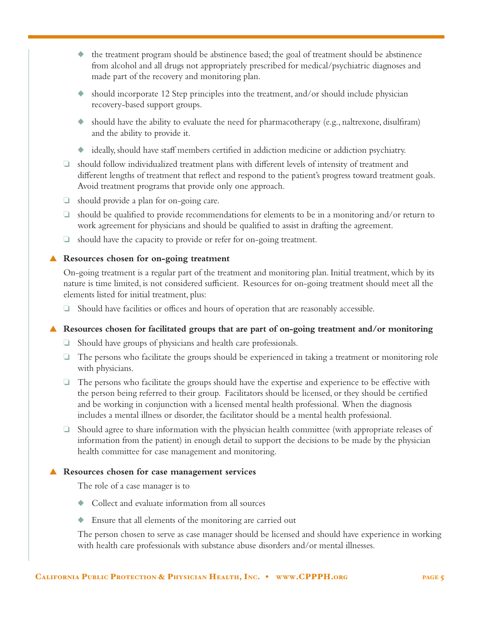- ◆ the treatment program should be abstinence based; the goal of treatment should be abstinence from alcohol and all drugs not appropriately prescribed for medical/psychiatric diagnoses and made part of the recovery and monitoring plan.
- $\bullet$  should incorporate 12 Step principles into the treatment, and/or should include physician recovery-based support groups.
- $\bullet$  should have the ability to evaluate the need for pharmacotherapy (e.g., naltrexone, disulfiram) and the ability to provide it.
- ◆ ideally, should have staff members certified in addiction medicine or addiction psychiatry.
- $\Box$  should follow individualized treatment plans with different levels of intensity of treatment and different lengths of treatment that reflect and respond to the patient's progress toward treatment goals. Avoid treatment programs that provide only one approach.
- $\Box$  should provide a plan for on-going care.
- $\Box$  should be qualified to provide recommendations for elements to be in a monitoring and/or return to work agreement for physicians and should be qualified to assist in drafting the agreement.
- $\Box$  should have the capacity to provide or refer for on-going treatment.

### ▲ **Resources chosen for on-going treatment**

 On-going treatment is a regular part of the treatment and monitoring plan. Initial treatment, which by its nature is time limited, is not considered sufficient. Resources for on-going treatment should meet all the elements listed for initial treatment, plus:

 $\Box$  Should have facilities or offices and hours of operation that are reasonably accessible.

### ▲ **Resources chosen for facilitated groups that are part of on-going treatment and/or monitoring**

- $\Box$  Should have groups of physicians and health care professionals.
- $\Box$  The persons who facilitate the groups should be experienced in taking a treatment or monitoring role with physicians.
- $\Box$  The persons who facilitate the groups should have the expertise and experience to be effective with the person being referred to their group. Facilitators should be licensed, or they should be certified and be working in conjunction with a licensed mental health professional. When the diagnosis includes a mental illness or disorder, the facilitator should be a mental health professional.
- $\Box$  Should agree to share information with the physician health committee (with appropriate releases of information from the patient) in enough detail to support the decisions to be made by the physician health committee for case management and monitoring.

#### **▲** Resources chosen for case management services

The role of a case manager is to

- Collect and evaluate information from all sources
- Ensure that all elements of the monitoring are carried out

 The person chosen to serve as case manager should be licensed and should have experience in working with health care professionals with substance abuse disorders and/or mental illnesses.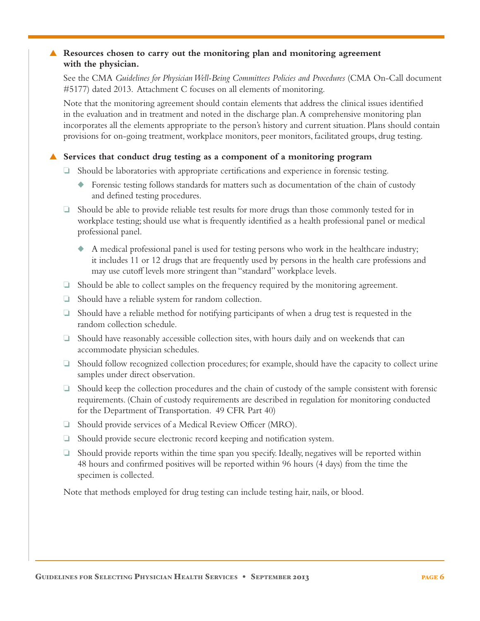## ▲ **Resources chosen to carry out the monitoring plan and monitoring agreement with the physician.**

 See the CMA *Guidelines for Physician Well-Being Committees Policies and Procedures* (CMA On-Call document #5177) dated 2013. Attachment C focuses on all elements of monitoring.

 Note that the monitoring agreement should contain elements that address the clinical issues identified in the evaluation and in treatment and noted in the discharge plan. A comprehensive monitoring plan incorporates all the elements appropriate to the person's history and current situation. Plans should contain provisions for on-going treatment, workplace monitors, peer monitors, facilitated groups, drug testing.

### ▲ **Services that conduct drug testing as a component of a monitoring program**

- $\Box$  Should be laboratories with appropriate certifications and experience in forensic testing.
	- ◆ Forensic testing follows standards for matters such as documentation of the chain of custody and defined testing procedures.
- $\Box$  Should be able to provide reliable test results for more drugs than those commonly tested for in workplace testing; should use what is frequently identified as a health professional panel or medical professional panel.
	- ◆ A medical professional panel is used for testing persons who work in the healthcare industry; it includes 11 or 12 drugs that are frequently used by persons in the health care professions and may use cutoff levels more stringent than "standard" workplace levels.
- $\Box$  Should be able to collect samples on the frequency required by the monitoring agreement.
- $\Box$  Should have a reliable system for random collection.
- $\Box$  Should have a reliable method for notifying participants of when a drug test is requested in the random collection schedule.
- $\Box$  Should have reasonably accessible collection sites, with hours daily and on weekends that can accommodate physician schedules.
- $\Box$  Should follow recognized collection procedures; for example, should have the capacity to collect urine samples under direct observation.
- $\Box$  Should keep the collection procedures and the chain of custody of the sample consistent with forensic requirements. (Chain of custody requirements are described in regulation for monitoring conducted for the Department of Transportation. 49 CFR Part 40)
- $\Box$  Should provide services of a Medical Review Officer (MRO).
- $\Box$  Should provide secure electronic record keeping and notification system.
- $\Box$  Should provide reports within the time span you specify. Ideally, negatives will be reported within 48 hours and confirmed positives will be reported within 96 hours (4 days) from the time the specimen is collected.

Note that methods employed for drug testing can include testing hair, nails, or blood.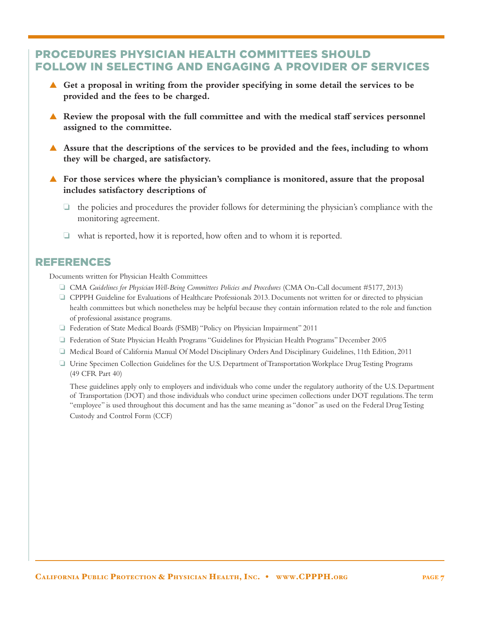# PROCEDURES PHYSICIAN HEALTH COMMITTEES SHOULD FOLLOW IN SELECTING AND ENGAGING A PROVIDER OF SERVICES

- ▲ **Get a proposal in writing from the provider specifying in some detail the services to be provided and the fees to be charged.**
- **▲** Review the proposal with the full committee and with the medical staff services personnel **assigned to the committee.**
- **▲** Assure that the descriptions of the services to be provided and the fees, including to whom **they will be charged, are satisfactory.**
- **▲** For those services where the physician's compliance is monitored, assure that the proposal **includes satisfactory descriptions of**
	- $\Box$  the policies and procedures the provider follows for determining the physician's compliance with the monitoring agreement.
	- $\Box$  what is reported, how it is reported, how often and to whom it is reported.

# REFERENCES

Documents written for Physician Health Committees

- o CMA *Guidelines for Physician Well-Being Committees Policies and Procedures* (CMA On-Call document #5177, 2013)
- o CPPPH Guideline for Evaluations of Healthcare Professionals 2013. Documents not written for or directed to physician health committees but which nonetheless may be helpful because they contain information related to the role and function of professional assistance programs.
- o Federation of State Medical Boards (FSMB) "Policy on Physician Impairment" 2011
- o Federation of State Physician Health Programs "Guidelines for Physician Health Programs" December 2005
- o Medical Board of California Manual Of Model Disciplinary Orders And Disciplinary Guidelines, 11th Edition, 2011
- o Urine Specimen Collection Guidelines for the U.S. Department of Transportation Workplace Drug Testing Programs (49 CFR Part 40)

 These guidelines apply only to employers and individuals who come under the regulatory authority of the U.S. Department of Transportation (DOT) and those individuals who conduct urine specimen collections under DOT regulations. The term "employee" is used throughout this document and has the same meaning as "donor" as used on the Federal Drug Testing Custody and Control Form (CCF)